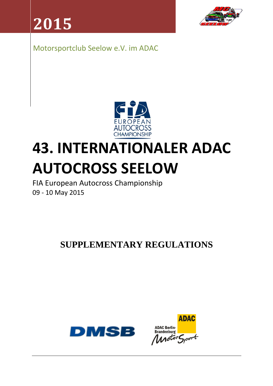**2015**



Motorsportclub Seelow e.V. im ADAC



# **43. INTERNATIONALER ADAC AUTOCROSS SEELOW**

FIA European Autocross Championship 09 ‐ 10 May 2015

**SUPPLEMENTARY REGULATIONS** 



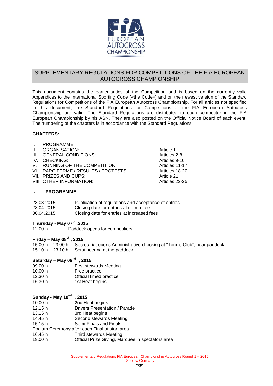

# SUPPLEMENTARY REGULATIONS FOR COMPETITIONS OF THE FIA EUROPEAN AUTOCROSS CHAMPIONSHIP

This document contains the particularities of the Competition and is based on the currently valid Appendices to the International Sporting Code («the Code») and on the newest version of the Standard Regulations for Competitions of the FIA European Autocross Championship. For all articles not specified in this document, the Standard Regulations for Competitions of the FIA European Autocross Championship are valid. The Standard Regulations are distributed to each competitor in the FIA European Championship by his ASN. They are also posted on the Official Notice Board of each event. The numbering of the chapters is in accordance with the Standard Regulations.

#### **CHAPTERS:**

| $\mathbf{I}$ | PROGRAMME                            |                |
|--------------|--------------------------------------|----------------|
| II.          | ORGANISATION:                        | Article 1      |
|              | III. GENERAL CONDITIONS:             | Articles 2-8   |
|              | IV. CHECKING:                        | Articles 9-10  |
|              | V. RUNNING OF THE COMPETITION:       | Articles 11-17 |
|              | VI. PARC FERME / RESULTS / PROTESTS: | Articles 18-20 |
|              | VII. PRIZES AND CUPS:                | Article 21     |
|              | VIII. OTHER INFORMATION:             | Articles 22-25 |
|              |                                      |                |

#### **I. PROGRAMME**

| 23.03.2015 | Publication of regulations and acceptance of entries |
|------------|------------------------------------------------------|
| 23.04.2015 | Closing date for entries at normal fee               |
| 30.04.2015 | Closing date for entries at increased fees           |

# **Thursday - May 07th ,2015**

12.00 h Paddock opens for competitiors

# **Friday – May 08st , 2015**

15.00 h - 23.00 h Secretariat opens Administrative checking at "Tennis Club", near paddock 15.10 h - 23.10 h Scrutineering at the paddock

## **Saturday – May 09nd , 2015**

| <b>First stewards Meeting</b> |
|-------------------------------|
| Free practice                 |
| Official timed practice       |
| 1st Heat begins               |
|                               |

| Sunday - May 10 <sup>nd</sup> | , 2015                                            |
|-------------------------------|---------------------------------------------------|
| 10.00 h                       | 2nd Heat begins                                   |
| 12.15h                        | Drivers Presentation / Parade                     |
| 13.15h                        | 3rd Heat begins                                   |
| 14.45 h                       | Second stewards Meeting                           |
| 15.15h                        | Semi-Finals and Finals                            |
|                               | Podium Ceremony after each Final at start area    |
| 16.45 h                       | Third stewards Meeting                            |
| 19.00 h                       | Official Prize Giving, Marquee in spectators area |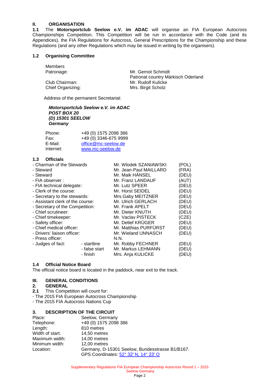# **II. ORGANISATION**<br>**1.1** The **Motorsportcl**

**1.1** The **Motorsportclub Seelow e.V. im ADAC** will organise an FIA European Autocross Championships Competition. This Competition will be run in accordance with the Code (and its Appendices), the FIA Regulations for Autocross, General Prescriptions for the Championship and these Regulations (and any other Regulations which may be issued in writing by the organisers).

#### **1.2 Organising Committee**

Members

Patronage: Mr. Gernot Schmidt Patronat country Märkisch Oderland Club Chairman: Mr. Rudolf Kulicke<br>
Chief Organizing: Mrs. Birgit Scholz Chief Organizing:

Address of the permanent Secretariat:

*Motorsportclub Seelow e.V. im ADAC POST BOX 20 (D) 15301 SEELOW Germany*

| Phone:    | +49 (0) 1575 2098 386 |
|-----------|-----------------------|
| Fax:      | +49 (0) 3346-675 9999 |
| E-Mail:   | office@mc-seelow.de   |
| Internet: | www.mc-seelow.de      |

#### **1.3 Officials**

| - Charman of the Stewards        |               | Mr. Wlodek SZANIAWSKI  | (POL) |
|----------------------------------|---------------|------------------------|-------|
| - Steward                        |               | Mr. Jean-Paul MAILLARD | (FRA) |
| - Steward                        |               | Mr. Maik HÄNSEL        | (DEU) |
| - FIA observer :                 |               | Mr. Franz LANDAUF      | (AUT) |
| - FIA technical delegate:        |               | Mr. Lutz SPEER         | (DEU) |
| - Clerk of the course:           |               | Mr. Horst SEIDEL       | (DEU) |
| - Secretary to the stewards:     |               | Mrs.Gaby MEITZNER      | (DEU) |
| - Assistant clerk of the course: |               | Mr. Ulrich GERLACH     | (DEU) |
| - Secretary of the Competition:  |               | Mr. Frank APELT        | (DEU) |
| - Chief scrutineer:              |               | Mr. Dieter KNUTH       | (DEU) |
| - Chief timekeeper:              |               | Mr. Vaclav PISTECK     | (CZE) |
| - Safety officer:                |               | Mr. Detlef KRÜGER      | (DEU) |
| - Chief medical officer:         |               | Mr. Matthias PURFURST  | (DEU) |
| - Drivers' liaison officer:      |               | Mr. Wieland UNNASCH    | (DEU) |
| - Press officer:                 |               | N.N.                   |       |
| - Judges of fact:                | - startline   | Mr. Robby FECHNER      | (DEU) |
|                                  | - false start | Mr. Markus LEHMANN     | (DEU) |
|                                  | - finish      | Mrs. Anja KULICKE      | (DEU) |

#### **1.4 Official Notice Board**

The official notice board is located in the paddock, near exit to the track.

## **III. GENERAL CONDITIONS**

#### **2. GENERAL**

- **2.1** This Competition will count for:
- The 2015 FIA European Autocross Championship
- The 2015 FIA Autocross Nations Cup

## **3. DESCRIPTION OF THE CIRCUIT**

| Place:          | Seelow, Germany                                 |
|-----------------|-------------------------------------------------|
| Telephone:      | +49 (0) 1575 2098 386                           |
| Length:         | 810 metres                                      |
| Width of start: | 14,50 metres                                    |
| Maximum width:  | 14,00 metres                                    |
| Minimum width:  | 12,00 metres                                    |
| Location:       | Germany, D-15301 Seelow, Bundesstrasse B1/B167. |
|                 | GPS Coordinates: 52° 32' N, 14° 23' O           |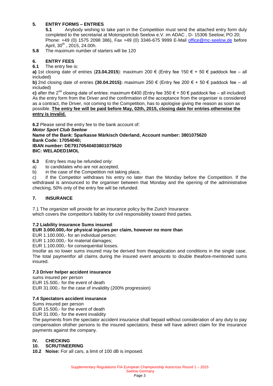# **5. ENTRY FORMS – ENTRIES**

**5.1** Anybody wishing to take part in the Competition must send the attached entry form duly completed to the secretariat at Motorsportclub Seelow e.V. im ADAC , D- 15306 Seelow; PO 20; Phone: +49 (0) 1575 2098 386), Fax +49 (0) 3346-675 9999 E-Mail [office@mc-seelow.de](mailto:b.wildner@mc-seelow.de) before April,  $30^{th}$ , 2015, 24.00h.

**5.8** The maximum number of starters will be 120

# **6. ENTRY FEES**

**6.1** The entry fee is:

**a)** 1st closing date of entries (**23.04.2015**): maximum 200 € (Entry fee 150 € + 50 € paddock fee – all included)

**b)** 2nd closing date of entries **(30.04.2015):** maximum 250 € (Entry fee 200 € + 50 € paddock fee – all included)

**c)** after the 2<sup>nd</sup> closing date of entries: maximum €400 (Entry fee 350 € + 50 € paddock fee – all included) As the entry form from the Driver and the confirmation of the acceptance from the organiser is considered as a contract, the Driver, not coming to the Competition, has to apologise giving the reason as soon as possible. **The entry fee will be paid before May, 02th, 2015, closing date for entries**,**otherwise the entry is invalid.**

**6.2** Please send the entry fee to the bank account of:

*Motor Sport Club Seelow* **Name of the Bank: Sparkasse Märkisch Oderland, Account number: 3801075620 Bank Code: 17054040; IBAN number: DE79170540403801075620 BIC: WELADED1MOL**

**6.3** Entry fees may be refunded only:

- a) to candidates who are not accepted,
- b) in the case of the Competition not taking place,

c) if the Competitor withdraws his entry no later than the Monday before the Competition. If the withdrawal is announced to the organiser between that Monday and the opening of the administrative checking, 50% only of the entry fee will be refunded.

#### **7. INSURANCE**

7.1 The organizer will provide for an insurance policy by the Zurich Insurance which covers the competitor's liability for civil responsibility toward third parties.

#### **7.2 Liability insurance Sums insured**:

#### **EUR 3.000.000,-for physical injuries per claim, however no more than**

EUR 1.100.000,- for an individual person;

EUR 1.100.000,- for material damages;

EUR 1.100.000,- for consequential losses.

Insofar as no lower sums insured may be derived from theapplication and conditions in the single case. The total paymentfor all claims during the insured event amounts to double theafore-mentioned sums insured.

#### **7.3 Driver helper accident insurance**

sums insured per person EUR 15.500,- for the event of death EUR 31.000,- for the case of invalidity (200% progression)

#### **7.4 Spectators accident insurance**

Sums insured per person

EUR 15.500,- for the event of death

EUR 31.000,- for the event invalidity

The payments from the spectator accident insurance shall bepaid without consideration of any duty to pay compensation ofother persons to the insured spectators; these will have adirect claim for the insurance payments against the company.

#### **IV. CHECKING**

#### **10. SCRUTINEERING**

**10.2 Noise:** For all cars, a limit of 100 dB is imposed.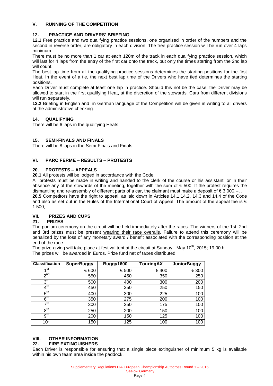## **V. RUNNING OF THE COMPETITION**

# **12. PRACTICE AND DRIVERS' BRIEFING**

**12.1** Free practice and two qualifying practice sessions, one organised in order of the numbers and the second in reverse order, are obligatory in each division. The free practice session will be run over 4 laps minimum.

There must be no more than 1 car at each 120m of the track in each qualifying practice session, which will last for 4 laps from the entry of the first car onto the track, but only the times starting from the 2nd lap will count.

The best lap time from all the qualifying practice sessions determines the starting positions for the first Heat. In the event of a tie, the next best lap time of the Drivers who have tied determines the starting positions.

Each Driver must complete at least one lap in practice. Should this not be the case, the Driver may be allowed to start in the first qualifying Heat, at the discretion of the stewards. Cars from different divisions will run separately.

**12.2** Briefing in English and in German language of the Competition will be given in writing to all drivers at the administrative checking.

# **14. QUALIFYING**

There will be 6 laps in the qualifying Heats.

# **15. SEMI-FINALS AND FINALS**

There will be 8 laps in the Semi-Finals and Finals.

#### **VI. PARC FERME – RESULTS – PROTESTS**

# **20. PROTESTS – APPEALS**

**20.1** All protests will be lodged in accordance with the Code.

All protests must be made in writing and handed to the clerk of the course or his assistant, or in their absence any of the stewards of the meeting, together with the sum of € 500. If the protest requires the dismantling and re-assembly of different parts of a car, the claimant must make a deposit of  $\epsilon$  3.000,--. **20.5** Competitors have the right to appeal, as laid down in Articles 14.1,14.2, 14.3 and 14.4 of the Code and also as set out in the Rules of the International Court of Appeal. The amount of the appeal fee is  $\epsilon$  $1.500,-$ .

# **VII. PRIZES AND CUPS**

#### **21. PRIZES**

The podium ceremony on the circuit will be held immediately after the races. The winners of the 1st, 2nd and 3rd prizes must be present wearing their race overalls. Failure to attend this ceremony will be penalized by the loss of any monetary award / benefit associated with the corresponding position at the end of the race.

The prize-giving will take place at festival tent at the circuit at Sunday - May 10<sup>th</sup>, 2015; 19.00 h. The prizes will be awarded in Euros. Prize fund net of taxes distributed:

| <b>Classification</b> | <b>SuperBuggy</b> | Buggy1600 | <b>TouringAX</b> | <b>JuniorBuggy</b> |
|-----------------------|-------------------|-----------|------------------|--------------------|
| ⊿st                   | € 600             | € 500     | € 400            | € 300              |
| 2 <sup>nd</sup>       | 550               | 450       | 350              | 250                |
| 3 <sup>rd</sup>       | 500               | 400       | 300              | 200                |
| $4^{\text{th}}$       | 450               | 350       | 250              | 150                |
| $5^{\sf th}$          | 400               | 300       | 225              | 100                |
| 6 <sup>th</sup>       | 350               | 275       | 200              | 100                |
| $-10$                 | 300               | 250       | 175              | 100                |
| $8^{\mathsf{th}}$     | 250               | 200       | 150              | 100                |
| $9^{\sf th}$          | 200               | 150       | 125              | 100                |
| 10 <sup>th</sup>      | 150               | 125       | 100              | 100                |

# **VIII. OTHER INFORMATION**

# **22. FIRE EXTINGUISHERS**

Each Driver is responsible for ensuring that a single piece extinguisher of minimum 5 kg is available within his own team area inside the paddock.